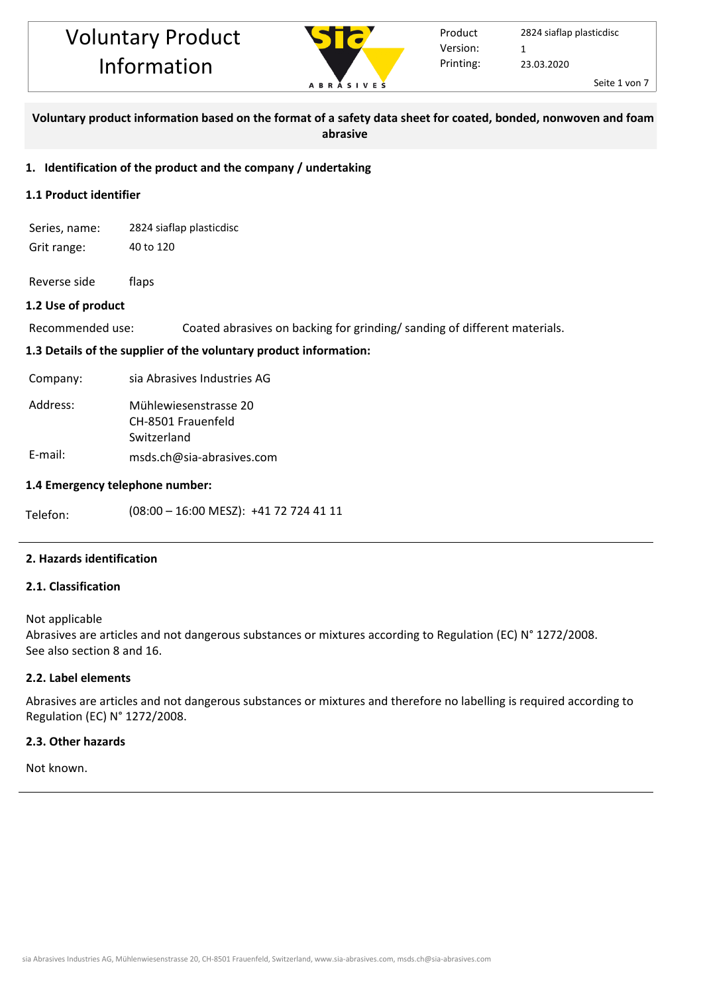

Product Printing: 2824 siaflap plasticdisc 23.03.2020 Version: 1

Seite 1 von 7

## **Voluntary product information based on the format of a safety data sheet for coated, bonded, nonwoven and foam abrasive**

## **1. Identification of the product and the company / undertaking**

## **1.1 Product identifier**

Series, name: 2824 siaflap plasticdisc Grit range: 40 to 120

Reverse side flaps

## **1.2 Use of product**

Recommended use: Coated abrasives on backing for grinding/ sanding of different materials.

## **1.3 Details of the supplier of the voluntary product information:**

Company: sia Abrasives Industries AG

| Address: | Mühlewiesenstrasse 20     |
|----------|---------------------------|
|          | CH-8501 Frauenfeld        |
|          | Switzerland               |
| E-mail:  | msds.ch@sia-abrasives.com |

# **1.4 Emergency telephone number:**

Telefon:  $(08:00 - 16:00 \text{ MESZ}): +41727244111$ 

## **2. Hazards identification**

#### **2.1. Classification**

Not applicable

Abrasives are articles and not dangerous substances or mixtures according to Regulation (EC) N° 1272/2008. See also section 8 and 16.

#### **2.2. Label elements**

Abrasives are articles and not dangerous substances or mixtures and therefore no labelling is required according to Regulation (EC) N° 1272/2008.

## **2.3. Other hazards**

Not known.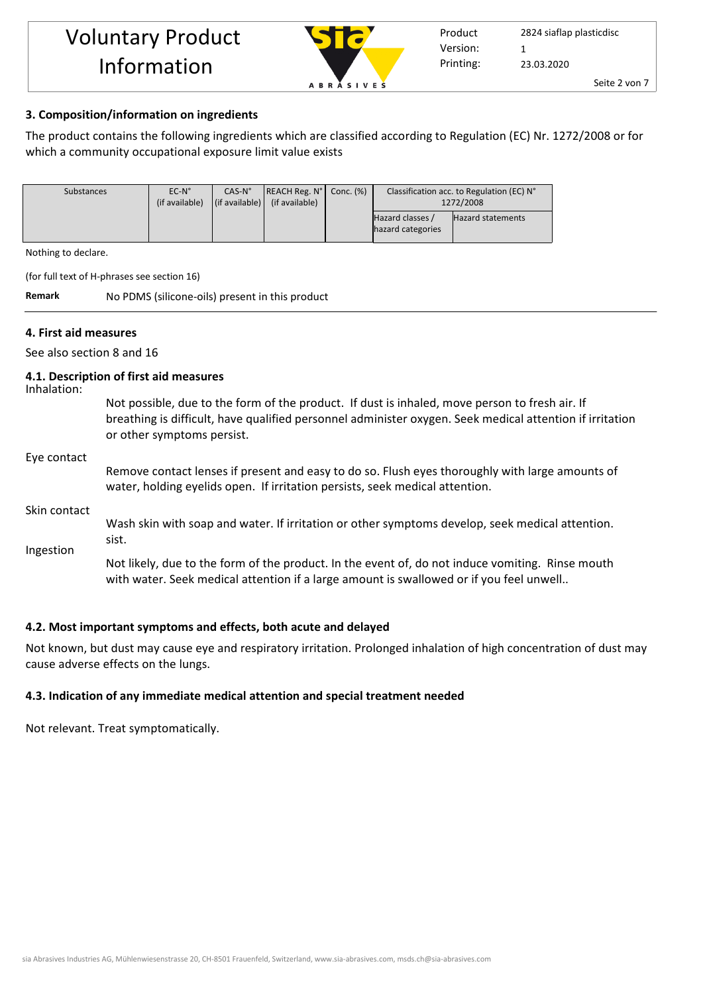

# **3. Composition/information on ingredients**

The product contains the following ingredients which are classified according to Regulation (EC) Nr. 1272/2008 or for which a community occupational exposure limit value exists

| Substances | $EC-N^{\circ}$ | $CAS-N°$                       | $ REACH Reg. No $ Conc. $%$ | Classification acc. to Regulation (EC) N° |                          |
|------------|----------------|--------------------------------|-----------------------------|-------------------------------------------|--------------------------|
|            | (if available) | $\vert$ (if available) $\vert$ | (if available)              | 1272/2008                                 |                          |
|            |                |                                |                             | Hazard classes /                          | <b>Hazard statements</b> |
|            |                |                                |                             | hazard categories                         |                          |
|            |                |                                |                             |                                           |                          |

Nothing to declare.

(for full text of H-phrases see section 16)

**Remark** No PDMS (silicone-oils) present in this product

## **4. First aid measures**

See also section 8 and 16

## **4.1. Description of first aid measures**

Inhalation:

Not possible, due to the form of the product. If dust is inhaled, move person to fresh air. If breathing is difficult, have qualified personnel administer oxygen. Seek medical attention if irritation or other symptoms persist.

#### Eye contact

Remove contact lenses if present and easy to do so. Flush eyes thoroughly with large amounts of water, holding eyelids open. If irritation persists, seek medical attention.

#### Skin contact

Wash skin with soap and water. If irritation or other symptoms develop, seek medical attention. sist.

Ingestion

Not likely, due to the form of the product. In the event of, do not induce vomiting. Rinse mouth with water. Seek medical attention if a large amount is swallowed or if you feel unwell..

## **4.2. Most important symptoms and effects, both acute and delayed**

Not known, but dust may cause eye and respiratory irritation. Prolonged inhalation of high concentration of dust may cause adverse effects on the lungs.

## **4.3. Indication of any immediate medical attention and special treatment needed**

Not relevant. Treat symptomatically.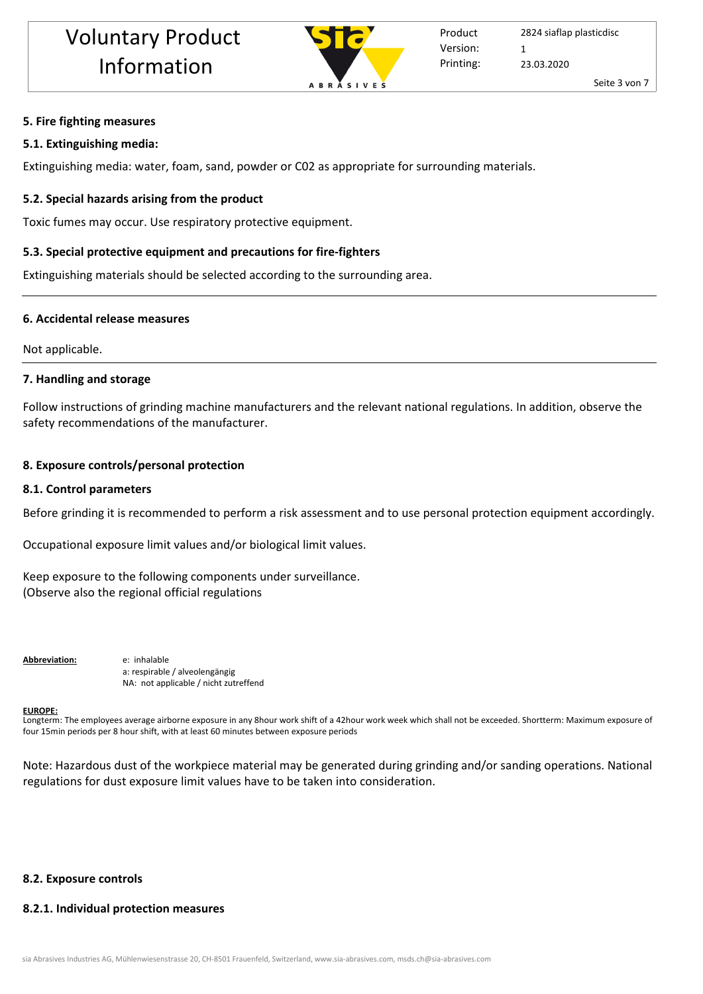

#### **5. Fire fighting measures**

#### **5.1. Extinguishing media:**

Extinguishing media: water, foam, sand, powder or C02 as appropriate for surrounding materials.

#### **5.2. Special hazards arising from the product**

Toxic fumes may occur. Use respiratory protective equipment.

#### **5.3. Special protective equipment and precautions for fire-fighters**

Extinguishing materials should be selected according to the surrounding area.

#### **6. Accidental release measures**

Not applicable.

#### **7. Handling and storage**

Follow instructions of grinding machine manufacturers and the relevant national regulations. In addition, observe the safety recommendations of the manufacturer.

#### **8. Exposure controls/personal protection**

#### **8.1. Control parameters**

Before grinding it is recommended to perform a risk assessment and to use personal protection equipment accordingly.

Occupational exposure limit values and/or biological limit values.

Keep exposure to the following components under surveillance. (Observe also the regional official regulations

**Abbreviation:** e: inhalable

a: respirable / alveolengängig NA: not applicable / nicht zutreffend

#### **EUROPE:**

Longterm: The employees average airborne exposure in any 8hour work shift of a 42hour work week which shall not be exceeded. Shortterm: Maximum exposure of four 15min periods per 8 hour shift, with at least 60 minutes between exposure periods

Note: Hazardous dust of the workpiece material may be generated during grinding and/or sanding operations. National regulations for dust exposure limit values have to be taken into consideration.

#### **8.2. Exposure controls**

#### **8.2.1. Individual protection measures**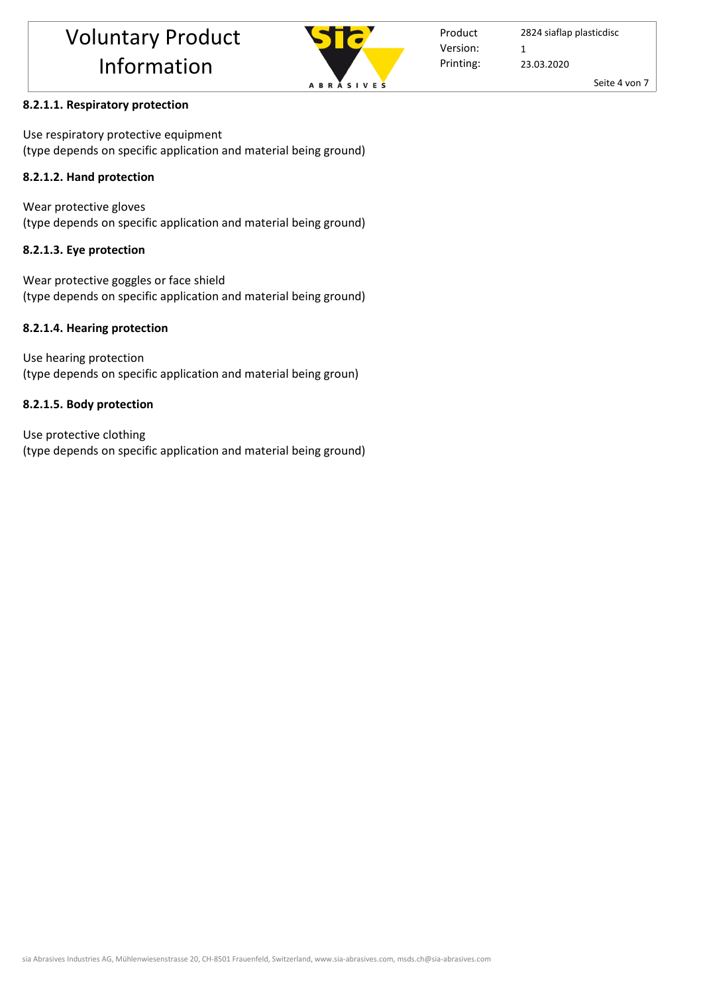

Product Printing: Version: 1

2824 siaflap plasticdisc 23.03.2020 Seite 4 von 7

## **8.2.1.1. Respiratory protection**

Use respiratory protective equipment (type depends on specific application and material being ground)

# **8.2.1.2. Hand protection**

Wear protective gloves (type depends on specific application and material being ground)

# **8.2.1.3. Eye protection**

Wear protective goggles or face shield (type depends on specific application and material being ground)

# **8.2.1.4. Hearing protection**

Use hearing protection (type depends on specific application and material being groun)

# **8.2.1.5. Body protection**

Use protective clothing (type depends on specific application and material being ground)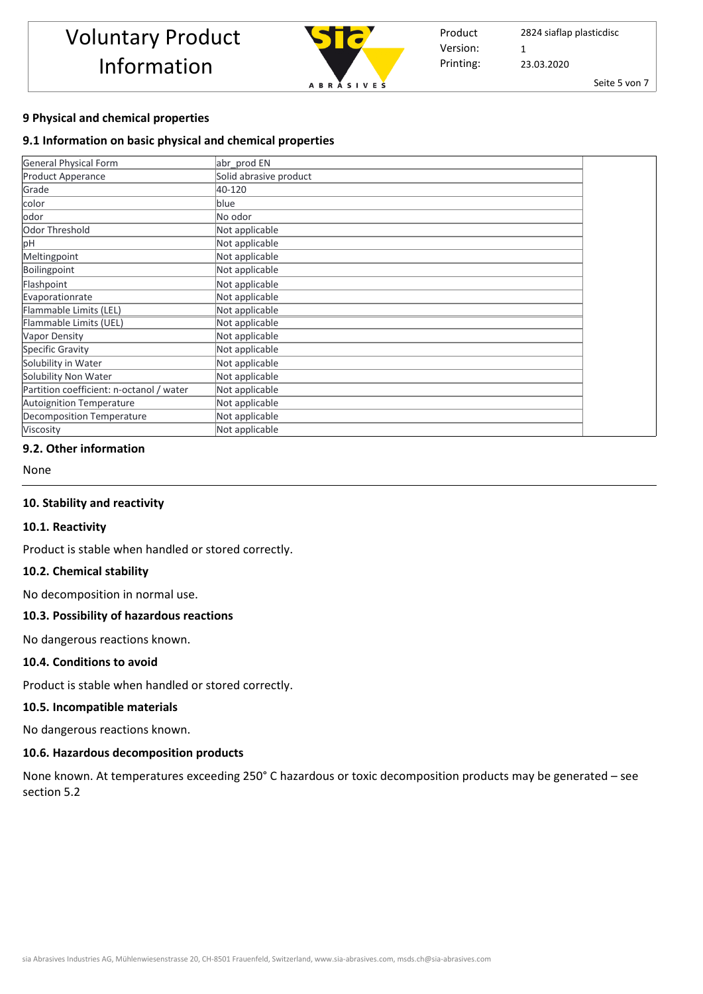

Product Printing: Version: 1

2824 siaflap plasticdisc 23.03.2020

Seite 5 von 7

# **9 Physical and chemical properties**

## **9.1 Information on basic physical and chemical properties**

| <b>General Physical Form</b>             | abr prod EN            |
|------------------------------------------|------------------------|
| <b>Product Apperance</b>                 | Solid abrasive product |
| Grade                                    | 40-120                 |
| color                                    | blue                   |
| odor                                     | No odor                |
| <b>Odor Threshold</b>                    | Not applicable         |
| рH                                       | Not applicable         |
| Meltingpoint                             | Not applicable         |
| Boilingpoint                             | Not applicable         |
| Flashpoint                               | Not applicable         |
| Evaporationrate                          | Not applicable         |
| Flammable Limits (LEL)                   | Not applicable         |
| Flammable Limits (UEL)                   | Not applicable         |
| <b>Vapor Density</b>                     | Not applicable         |
| Specific Gravity                         | Not applicable         |
| Solubility in Water                      | Not applicable         |
| Solubility Non Water                     | Not applicable         |
| Partition coefficient: n-octanol / water | Not applicable         |
| <b>Autoignition Temperature</b>          | Not applicable         |
| <b>Decomposition Temperature</b>         | Not applicable         |
| Viscosity                                | Not applicable         |

## **9.2. Other information**

None

## **10. Stability and reactivity**

## **10.1. Reactivity**

Product is stable when handled or stored correctly.

## **10.2. Chemical stability**

No decomposition in normal use.

## **10.3. Possibility of hazardous reactions**

No dangerous reactions known.

## **10.4. Conditions to avoid**

Product is stable when handled or stored correctly.

## **10.5. Incompatible materials**

No dangerous reactions known.

## **10.6. Hazardous decomposition products**

None known. At temperatures exceeding 250° C hazardous or toxic decomposition products may be generated – see section 5.2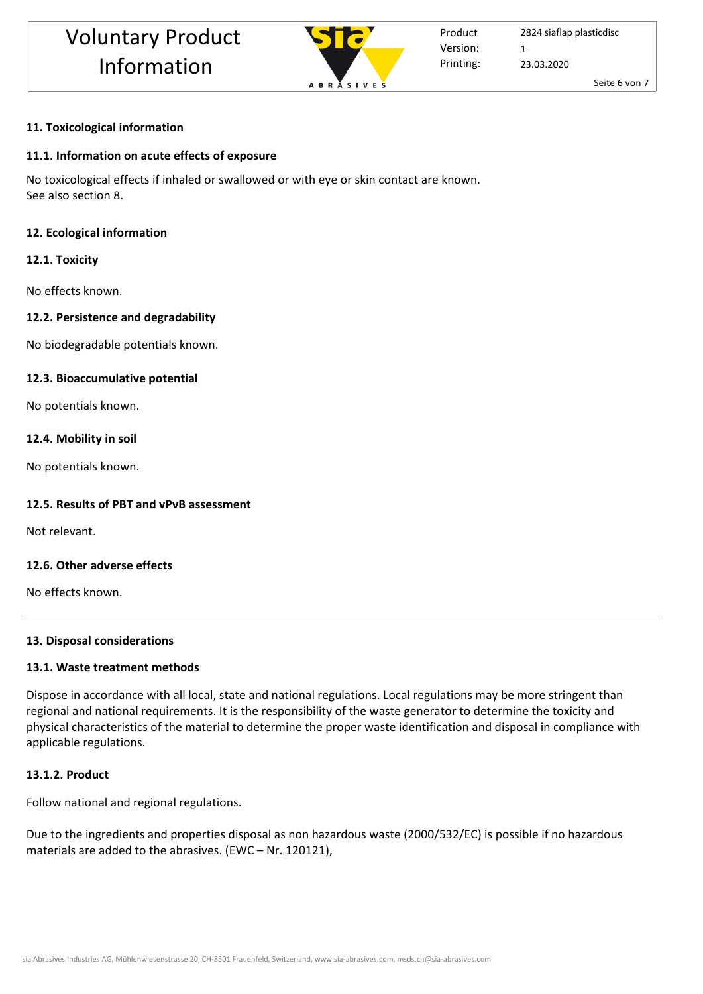

Product Printing: Version: 1

2824 siaflap plasticdisc 23.03.2020

Seite 6 von 7

## **11. Toxicological information**

## **11.1. Information on acute effects of exposure**

No toxicological effects if inhaled or swallowed or with eye or skin contact are known. See also section 8.

## **12. Ecological information**

## **12.1. Toxicity**

No effects known.

## **12.2. Persistence and degradability**

No biodegradable potentials known.

## **12.3. Bioaccumulative potential**

No potentials known.

## **12.4. Mobility in soil**

No potentials known.

## **12.5. Results of PBT and vPvB assessment**

Not relevant.

## **12.6. Other adverse effects**

No effects known.

## **13. Disposal considerations**

## **13.1. Waste treatment methods**

Dispose in accordance with all local, state and national regulations. Local regulations may be more stringent than regional and national requirements. It is the responsibility of the waste generator to determine the toxicity and physical characteristics of the material to determine the proper waste identification and disposal in compliance with applicable regulations.

## **13.1.2. Product**

Follow national and regional regulations.

Due to the ingredients and properties disposal as non hazardous waste (2000/532/EC) is possible if no hazardous materials are added to the abrasives. (EWC – Nr. 120121),